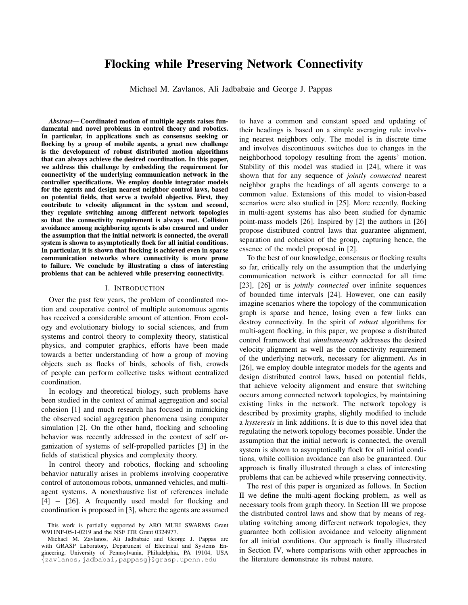# Flocking while Preserving Network Connectivity

Michael M. Zavlanos, Ali Jadbabaie and George J. Pappas

*Abstract*— Coordinated motion of multiple agents raises fundamental and novel problems in control theory and robotics. In particular, in applications such as consensus seeking or flocking by a group of mobile agents, a great new challenge is the development of robust distributed motion algorithms that can always achieve the desired coordination. In this paper, we address this challenge by embedding the requirement for connectivity of the underlying communication network in the controller specifications. We employ double integrator models for the agents and design nearest neighbor control laws, based on potential fields, that serve a twofold objective. First, they contribute to velocity alignment in the system and second, they regulate switching among different network topologies so that the connectivity requirement is always met. Collision avoidance among neighboring agents is also ensured and under the assumption that the initial network is connected, the overall system is shown to asymptotically flock for all initial conditions. In particular, it is shown that flocking is achieved even in sparse communication networks where connectivity is more prone to failure. We conclude by illustrating a class of interesting problems that can be achieved while preserving connectivity.

#### I. INTRODUCTION

Over the past few years, the problem of coordinated motion and cooperative control of multiple autonomous agents has received a considerable amount of attention. From ecology and evolutionary biology to social sciences, and from systems and control theory to complexity theory, statistical physics, and computer graphics, efforts have been made towards a better understanding of how a group of moving objects such as flocks of birds, schools of fish, crowds of people can perform collective tasks without centralized coordination.

In ecology and theoretical biology, such problems have been studied in the context of animal aggregation and social cohesion [1] and much research has focused in mimicking the observed social aggregation phenomena using computer simulation [2]. On the other hand, flocking and schooling behavior was recently addressed in the context of self organization of systems of self-propelled particles [3] in the fields of statistical physics and complexity theory.

In control theory and robotics, flocking and schooling behavior naturally arises in problems involving cooperative control of autonomous robots, unmanned vehicles, and multiagent systems. A nonexhaustive list of references include [4] − [26]. A frequently used model for flocking and coordination is proposed in [3], where the agents are assumed to have a common and constant speed and updating of their headings is based on a simple averaging rule involving nearest neighbors only. The model is in discrete time and involves discontinuous switches due to changes in the neighborhood topology resulting from the agents' motion. Stability of this model was studied in [24], where it was shown that for any sequence of *jointly connected* nearest neighbor graphs the headings of all agents converge to a common value. Extensions of this model to vision-based scenarios were also studied in [25]. More recently, flocking in multi-agent systems has also been studied for dynamic point-mass models [26]. Inspired by [2] the authors in [26] propose distributed control laws that guarantee alignment, separation and cohesion of the group, capturing hence, the essence of the model proposed in [2].

To the best of our knowledge, consensus or flocking results so far, critically rely on the assumption that the underlying communication network is either connected for all time [23], [26] or is *jointly connected* over infinite sequences of bounded time intervals [24]. However, one can easily imagine scenarios where the topology of the communication graph is sparse and hence, losing even a few links can destroy connectivity. In the spirit of *robust* algorithms for multi-agent flocking, in this paper, we propose a distributed control framework that *simultaneously* addresses the desired velocity alignment as well as the connectivity requirement of the underlying network, necessary for alignment. As in [26], we employ double integrator models for the agents and design distributed control laws, based on potential fields, that achieve velocity alignment and ensure that switching occurs among connected network topologies, by maintaining existing links in the network. The network topology is described by proximity graphs, slightly modified to include a *hysteresis* in link additions. It is due to this novel idea that regulating the network topology becomes possible. Under the assumption that the initial network is connected, the overall system is shown to asymptotically flock for all initial conditions, while collision avoidance can also be guaranteed. Our approach is finally illustrated through a class of interesting problems that can be achieved while preserving connectivity.

The rest of this paper is organized as follows. In Section II we define the multi-agent flocking problem, as well as necessary tools from graph theory. In Section III we propose the distributed control laws and show that by means of regulating switching among different network topologies, they guarantee both collision avoidance and velocity alignment for all initial conditions. Our approach is finally illustrated in Section IV, where comparisons with other approaches in the literature demonstrate its robust nature.

This work is partially supported by ARO MURI SWARMS Grant W911NF-05-1-0219 and the NSF ITR Grant 0324977.

Michael M. Zavlanos, Ali Jadbabaie and George J. Pappas are with GRASP Laboratory, Department of Electrical and Systems Engineering, University of Pennsylvania, Philadelphia, PA 19104, USA {zavlanos,jadbabai,pappasg}@grasp.upenn.edu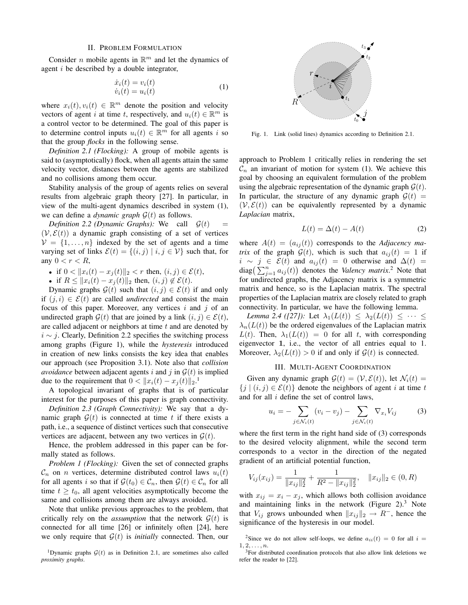### II. PROBLEM FORMULATION

Consider *n* mobile agents in  $\mathbb{R}^m$  and let the dynamics of agent i be described by a double integrator,

$$
\begin{aligned}\n\dot{x}_i(t) &= v_i(t) \\
\dot{v}_i(t) &= u_i(t)\n\end{aligned} \tag{1}
$$

where  $x_i(t), v_i(t) \in \mathbb{R}^m$  denote the position and velocity vectors of agent i at time t, respectively, and  $u_i(t) \in \mathbb{R}^m$  is a control vector to be determined. The goal of this paper is to determine control inputs  $u_i(t) \in \mathbb{R}^m$  for all agents i so that the group *flocks* in the following sense.

*Definition 2.1 (Flocking):* A group of mobile agents is said to (asymptotically) flock, when all agents attain the same velocity vector, distances between the agents are stabilized and no collisions among them occur.

Stability analysis of the group of agents relies on several results from algebraic graph theory [27]. In particular, in view of the multi-agent dynamics described in system (1), we can define a *dynamic graph*  $\mathcal{G}(t)$  as follows.

*Definition 2.2 (Dynamic Graphs):* We call  $\mathcal{G}(t)$  $(V, \mathcal{E}(t))$  a dynamic graph consisting of a set of vertices  $V = \{1, \ldots, n\}$  indexed by the set of agents and a time varying set of links  $\mathcal{E}(t) = \{(i, j) | i, j \in \mathcal{V}\}\$  such that, for any  $0 < r < R$ ,

- if  $0 < ||x_i(t) x_i(t)||_2 < r$  then,  $(i, j) \in \mathcal{E}(t)$ ,
- if  $R \le ||x_i(t) x_j(t)||_2$  then,  $(i, j) \notin \mathcal{E}(t)$ .

Dynamic graphs  $\mathcal{G}(t)$  such that  $(i, j) \in \mathcal{E}(t)$  if and only if  $(j, i) \in \mathcal{E}(t)$  are called *undirected* and consist the main focus of this paper. Moreover, any vertices i and j of an undirected graph  $\mathcal{G}(t)$  that are joined by a link  $(i, j) \in \mathcal{E}(t)$ , are called adjacent or neighbors at time  $t$  and are denoted by  $i \sim j$ . Clearly, Definition 2.2 specifies the switching process among graphs (Figure 1), while the *hysteresis* introduced in creation of new links consists the key idea that enables our approach (see Proposition 3.1). Note also that *collision avoidance* between adjacent agents i and j in  $\mathcal{G}(t)$  is implied due to the requirement that  $0 < ||x_i(t) - x_j(t)||_2$ .<sup>1</sup>

A topological invariant of graphs that is of particular interest for the purposes of this paper is graph connectivity.

*Definition 2.3 (Graph Connectivity):* We say that a dynamic graph  $G(t)$  is connected at time t if there exists a path, i.e., a sequence of distinct vertices such that consecutive vertices are adjacent, between any two vertices in  $G(t)$ .

Hence, the problem addressed in this paper can be formally stated as follows.

*Problem 1 (Flocking):* Given the set of connected graphs  $\mathcal{C}_n$  on *n* vertices, determine distributed control laws  $u_i(t)$ for all agents i so that if  $\mathcal{G}(t_0) \in \mathcal{C}_n$ , then  $\mathcal{G}(t) \in \mathcal{C}_n$  for all time  $t \geq t_0$ , all agent velocities asymptotically become the same and collisions among them are always avoided.

Note that unlike previous approaches to the problem, that critically rely on the *assumption* that the network  $G(t)$  is connected for all time [26] or infinitely often [24], here we only require that  $G(t)$  is *initially* connected. Then, our



Fig. 1. Link (solid lines) dynamics according to Definition 2.1.

approach to Problem 1 critically relies in rendering the set  $\mathcal{C}_n$  an invariant of motion for system (1). We achieve this goal by choosing an equivalent formulation of the problem using the algebraic representation of the dynamic graph  $\mathcal{G}(t)$ . In particular, the structure of any dynamic graph  $\mathcal{G}(t)$  =  $(V, \mathcal{E}(t))$  can be equivalently represented by a dynamic *Laplacian* matrix,

$$
L(t) = \Delta(t) - A(t) \tag{2}
$$

where  $A(t) = (a_{ij}(t))$  corresponds to the *Adjacency matrix* of the graph  $G(t)$ , which is such that  $a_{ij}(t) = 1$  if  $i \sim j \in \mathcal{E}(t)$  and  $a_{ij}(t) = 0$  otherwise and  $\Delta(t) =$  $u \sim y \in \mathcal{E}(t)$  and  $a_{ij}(t) = 0$  otherwise and  $\Delta(t) =$ <br>diag( $\sum_{j=1}^{n} a_{ij}(t)$ ) denotes the *Valency matrix*.<sup>2</sup> Note that for undirected graphs, the Adjacency matrix is a symmetric matrix and hence, so is the Laplacian matrix. The spectral properties of the Laplacian matrix are closely related to graph connectivity. In particular, we have the following lemma.

*Lemma 2.4 ([27]):* Let  $\lambda_1(L(t)) < \lambda_2(L(t)) < \cdots$  $\lambda_n(L(t))$  be the ordered eigenvalues of the Laplacian matrix  $L(t)$ . Then,  $\lambda_1(L(t)) = 0$  for all t, with corresponding eigenvector 1, i.e., the vector of all entries equal to 1. Moreover,  $\lambda_2(L(t)) > 0$  if and only if  $\mathcal{G}(t)$  is connected.

# III. MULTI-AGENT COORDINATION

Given any dynamic graph  $\mathcal{G}(t) = (\mathcal{V}, \mathcal{E}(t))$ , let  $\mathcal{N}_i(t) =$  ${j | (i, j) \in \mathcal{E}(t)}$  denote the neighbors of agent i at time t and for all i define the set of control laws,

$$
u_i = -\sum_{j \in \mathcal{N}_i(t)} (v_i - v_j) - \sum_{j \in \mathcal{N}_i(t)} \nabla_{x_i} V_{ij}
$$
 (3)

where the first term in the right hand side of (3) corresponds to the desired velocity alignment, while the second term corresponds to a vector in the direction of the negated gradient of an artificial potential function,

$$
V_{ij}(x_{ij}) = \frac{1}{\|x_{ij}\|_2^2} + \frac{1}{R^2 - \|x_{ij}\|_2^2}, \quad \|x_{ij}\|_2 \in (0, R)
$$

with  $x_{ij} = x_i - x_j$ , which allows both collision avoidance and maintaining links in the network (Figure 2).<sup>3</sup> Note that  $V_{ij}$  grows unbounded when  $||x_{ij}||_2 \rightarrow R^-$ , hence the significance of the hysteresis in our model.

<sup>&</sup>lt;sup>1</sup>Dynamic graphs  $G(t)$  as in Definition 2.1, are sometimes also called *proximity graphs*.

<sup>&</sup>lt;sup>2</sup>Since we do not allow self-loops, we define  $a_{ii}(t) = 0$  for all  $i =$  $1, 2, \ldots, n$ .

 $3$ For distributed coordination protocols that also allow link deletions we refer the reader to [22].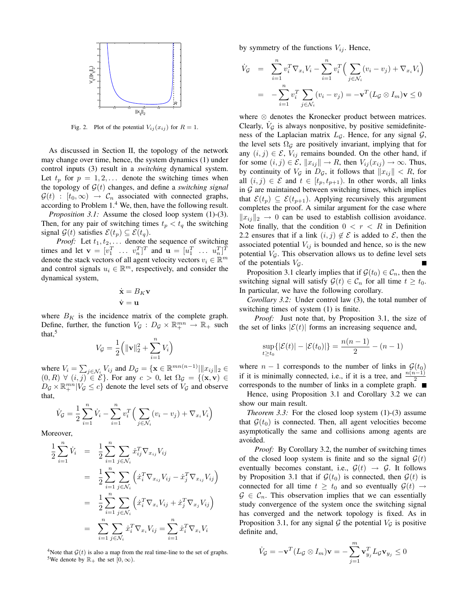

Fig. 2. Plot of the potential  $V_{ij}(x_{ij})$  for  $R = 1$ .

As discussed in Section II, the topology of the network may change over time, hence, the system dynamics (1) under control inputs (3) result in a *switching* dynamical system. Let  $t_p$  for  $p = 1, 2, \ldots$  denote the switching times when the topology of  $\mathcal{G}(t)$  changes, and define a *switching signal*  $\mathcal{G}(t) : [t_0, \infty) \rightarrow \mathcal{C}_n$  associated with connected graphs, according to Problem  $1<sup>4</sup>$  We, then, have the following result.

*Proposition 3.1:* Assume the closed loop system (1)-(3). Then, for any pair of switching times  $t_p < t_q$  the switching signal  $\mathcal{G}(t)$  satisfies  $\mathcal{E}(t_p) \subseteq \mathcal{E}(t_q)$ .

*Proof:* Let  $t_1, t_2, \ldots$  denote the sequence of switching times and let  $\mathbf{v} = [v_1^T \dots v_n^T]^T$  and  $\mathbf{u} = [u_1^T \dots u_n^T]^T$ denote the stack vectors of all agent velocity vectors  $v_i \in \mathbb{R}^m$ and control signals  $u_i \in \mathbb{R}^m$ , respectively, and consider the dynamical system,

$$
\dot{\mathbf{x}} = B_K \mathbf{v}
$$

$$
\dot{\mathbf{v}} = \mathbf{u}
$$

where  $B_K$  is the incidence matrix of the complete graph. Define, further, the function  $V_g: D_g \times \mathbb{R}^{mn}_+ \to \mathbb{R}_+$  such that, $\frac{5}{3}$ 

$$
V_{\mathcal{G}} = \frac{1}{2} \Big( \| \mathbf{v} \|_2^2 + \sum_{i=1}^n V_i \Big)
$$

where  $V_i = \sum$  $j \in \mathcal{N}_i$ ,  $V_{ij}$  and  $D_{\mathcal{G}} = \{ \mathbf{x} \in \mathbb{R}^{mn(n-1)} | ||x_{ij}||_2 \in$  $(0, R) \forall (i, j) \in \mathcal{E}$ . For any  $c > 0$ , let  $\Omega_{\mathcal{G}} = \{(\mathbf{x}, \mathbf{v}) \in$  $D_{\mathcal{G}} \times \mathbb{R}^{mn}_+ | V_{\mathcal{G}} \leq c$  denote the level sets of  $V_{\mathcal{G}}$  and observe that,

$$
\dot{V}_{\mathcal{G}} = \frac{1}{2} \sum_{i=1}^{n} \dot{V}_{i} - \sum_{i=1}^{n} v_{i}^{T} \left( \sum_{j \in \mathcal{N}_{i}} (v_{i} - v_{j}) + \nabla_{x_{i}} V_{i} \right)
$$

Moreover,

$$
\frac{1}{2} \sum_{i=1}^{n} \dot{V}_i = \frac{1}{2} \sum_{i=1}^{n} \sum_{j \in \mathcal{N}_i} \dot{x}_{ij}^T \nabla_{x_{ij}} V_{ij}
$$
\n
$$
= \frac{1}{2} \sum_{i=1}^{n} \sum_{j \in \mathcal{N}_i} \left( \dot{x}_i^T \nabla_{x_{ij}} V_{ij} - \dot{x}_j^T \nabla_{x_{ij}} V_{ij} \right)
$$
\n
$$
= \frac{1}{2} \sum_{i=1}^{n} \sum_{j \in \mathcal{N}_i} \left( \dot{x}_i^T \nabla_{x_i} V_{ij} + \dot{x}_j^T \nabla_{x_j} V_{ij} \right)
$$
\n
$$
= \sum_{i=1}^{n} \sum_{j \in \mathcal{N}_i} \dot{x}_i^T \nabla_{x_i} V_{ij} = \sum_{i=1}^{n} \dot{x}_i^T \nabla_{x_i} V_i
$$

<sup>4</sup>Note that  $G(t)$  is also a map from the real time-line to the set of graphs. <sup>5</sup>We denote by  $\mathbb{R}_+$  the set  $[0, \infty)$ .

by symmetry of the functions  $V_{ij}$ . Hence,

$$
\dot{V}_{\mathcal{G}} = \sum_{i=1}^{n} v_i^T \nabla_{x_i} V_i - \sum_{i=1}^{n} v_i^T \Big( \sum_{j \in \mathcal{N}_i} (v_i - v_j) + \nabla_{x_i} V_i \Big)
$$

$$
= -\sum_{i=1}^{n} v_i^T \sum_{j \in \mathcal{N}_i} (v_i - v_j) = -\mathbf{v}^T (L_{\mathcal{G}} \otimes I_m) \mathbf{v} \le 0
$$

where ⊗ denotes the Kronecker product between matrices. Clearly,  $\dot{V}_G$  is always nonpositive, by positive semidefiniteness of the Laplacian matrix  $L_{\mathcal{G}}$ . Hence, for any signal  $\mathcal{G}$ , the level sets  $\Omega$ <sub>G</sub> are positively invariant, implying that for any  $(i, j) \in \mathcal{E}$ ,  $V_{ij}$  remains bounded. On the other hand, if for some  $(i, j) \in \mathcal{E}$ ,  $||x_{ij}|| \rightarrow R$ , then  $V_{ij}(x_{ij}) \rightarrow \infty$ . Thus, by continuity of  $V_g$  in  $D_g$ , it follows that  $||x_{ij}|| < R$ , for all  $(i, j) \in \mathcal{E}$  and  $t \in [t_p, t_{p+1})$ . In other words, all links in  $G$  are maintained between switching times, which implies that  $\mathcal{E}(t_p) \subseteq \mathcal{E}(t_{p+1})$ . Applying recursively this argument completes the proof. A similar argument for the case where  $||x_{ij}||_2 \rightarrow 0$  can be used to establish collision avoidance. Note finally, that the condition  $0 < r < R$  in Definition 2.2 ensures that if a link  $(i, j) \notin \mathcal{E}$  is added to  $\mathcal{E}$ , then the associated potential  $V_{ij}$  is bounded and hence, so is the new potential  $V<sub>G</sub>$ . This observation allows us to define level sets of the potentials  $V<sub>G</sub>$ .

Proposition 3.1 clearly implies that if  $\mathcal{G}(t_0) \in \mathcal{C}_n$ , then the switching signal will satisfy  $\mathcal{G}(t) \in \mathcal{C}_n$  for all time  $t \geq t_0$ . In particular, we have the following corollary.

*Corollary 3.2:* Under control law (3), the total number of switching times of system (1) is finite.

*Proof:* Just note that, by Proposition 3.1, the size of the set of links  $|\mathcal{E}(t)|$  forms an increasing sequence and,

$$
\sup_{t \ge t_0} {\{|\mathcal{E}(t)| - |\mathcal{E}(t_0)|\}} = \frac{n(n-1)}{2} - (n-1)
$$

where  $n - 1$  corresponds to the number of links in  $\mathcal{G}(t_0)$ if it is minimally connected, i.e., if it is a tree, and  $\frac{n(n-1)}{2}$ corresponds to the number of links in a complete graph.

Hence, using Proposition 3.1 and Corollary 3.2 we can show our main result.

*Theorem 3.3:* For the closed loop system (1)-(3) assume that  $\mathcal{G}(t_0)$  is connected. Then, all agent velocities become asymptotically the same and collisions among agents are avoided.

*Proof:* By Corollary 3.2, the number of switching times of the closed loop system is finite and so the signal  $G(t)$ eventually becomes constant, i.e.,  $\mathcal{G}(t) \rightarrow \mathcal{G}$ . It follows by Proposition 3.1 that if  $\mathcal{G}(t_0)$  is connected, then  $\mathcal{G}(t)$  is connected for all time  $t \geq t_0$  and so eventually  $\mathcal{G}(t) \rightarrow$  $\mathcal{G} \in \mathcal{C}_n$ . This observation implies that we can essentially study convergence of the system once the switching signal has converged and the network topology is fixed. As in Proposition 3.1, for any signal  $G$  the potential  $V_G$  is positive definite and,

$$
\dot{V}_{\mathcal{G}} = -\mathbf{v}^T (L_{\mathcal{G}} \otimes I_m)\mathbf{v} = -\sum_{j=1}^m \mathbf{v}_{y_j}^T L_{\mathcal{G}} \mathbf{v}_{y_j} \le 0
$$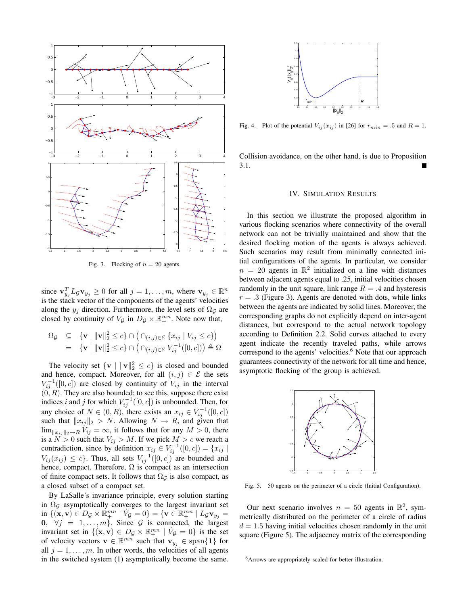

Fig. 3. Flocking of  $n = 20$  agents.

since  $\mathbf{v}_{y_j}^T L_{\mathcal{G}} \mathbf{v}_{y_j} \ge 0$  for all  $j = 1, \dots, m$ , where  $\mathbf{v}_{y_j} \in \mathbb{R}^n$ is the stack vector of the components of the agents' velocities along the  $y_i$  direction. Furthermore, the level sets of  $\Omega$ <sub>G</sub> are closed by continuity of  $V_g$  in  $D_g \times \mathbb{R}^{mn}_+$ . Note now that,

$$
\Omega_{\mathcal{G}} \subseteq \{ \mathbf{v} \mid \|\mathbf{v}\|_{2}^{2} \leq c \} \cap \left( \cap_{(i,j) \in \mathcal{E}} \{x_{ij} \mid V_{ij} \leq c \} \right)
$$
  
=  $\{ \mathbf{v} \mid \|\mathbf{v}\|_{2}^{2} \leq c \} \cap \left( \cap_{(i,j) \in \mathcal{E}} V_{ij}^{-1}([0,c]) \right) \triangleq \Omega$ 

The velocity set  $\{v \mid ||v||_2^2 \le c\}$  is closed and bounded and hence, compact. Moreover, for all  $(i, j) \in \mathcal{E}$  the sets  $V_{ij}^{-1}([0, c])$  are closed by continuity of  $V_{ij}$  in the interval  $(0, R)$ . They are also bounded; to see this, suppose there exist indices i and j for which  $V_{ij}^{-1}([0, c])$  is unbounded. Then, for any choice of  $N \in (0, R)$ , there exists an  $x_{ij} \in V_{ij}^{-1}([0, c])$ such that  $||x_{ij}||_2 > N$ . Allowing  $N \rightarrow R$ , and given that  $\lim_{\|x_{ij}\|_2\to R} V_{ij} = \infty$ , it follows that for any  $M > 0$ , there is a  $N > 0$  such that  $V_{ij} > M$ . If we pick  $M > c$  we reach a contradiction, since by definition  $x_{ij} \in V_{ij}^{-1}([0, c]) = \{x_{ij} |$  $V_{ij}(x_{ij}) \leq c$ . Thus, all sets  $V_{ij}^{-1}([0, c])$  are bounded and hence, compact. Therefore,  $\Omega$  is compact as an intersection of finite compact sets. It follows that  $\Omega_G$  is also compact, as a closed subset of a compact set.

By LaSalle's invariance principle, every solution starting in  $\Omega$ <sub>G</sub> asymptotically converges to the largest invariant set in  $\{(\mathbf{x}, \mathbf{v}) \in D_{\mathcal{G}} \times \mathbb{R}_{+}^{mn} \mid V_{\mathcal{G}} = 0\} = \{\mathbf{v} \in \mathbb{R}_{+}^{mn} \mid L_{\mathcal{G}} \mathbf{v}_{y_{j}} = 0\}$ 0,  $\forall j = 1, \ldots, m$ . Since G is connected, the largest invariant set in  $\{(\mathbf{x}, \mathbf{v}) \in D_{\mathcal{G}} \times \mathbb{R}^{mn}_+ \mid V_{\mathcal{G}} = 0\}$  is the set of velocity vectors  $\mathbf{v} \in \mathbb{R}^{mn}$  such that  $\mathbf{v}_{y_j} \in \text{span}\{\mathbf{1}\}\$  for all  $j = 1, \ldots, m$ . In other words, the velocities of all agents in the switched system (1) asymptotically become the same.



Fig. 4. Plot of the potential  $V_{ij}(x_{ij})$  in [26] for  $r_{min} = .5$  and  $R = 1$ .

Collision avoidance, on the other hand, is due to Proposition 3.1.

## IV. SIMULATION RESULTS

In this section we illustrate the proposed algorithm in various flocking scenarios where connectivity of the overall network can not be trivially maintained and show that the desired flocking motion of the agents is always achieved. Such scenarios may result from minimally connected initial configurations of the agents. In particular, we consider  $n = 20$  agents in  $\mathbb{R}^2$  initialized on a line with distances between adjacent agents equal to .25, initial velocities chosen randomly in the unit square, link range  $R = .4$  and hysteresis  $r = .3$  (Figure 3). Agents are denoted with dots, while links between the agents are indicated by solid lines. Moreover, the corresponding graphs do not explicitly depend on inter-agent distances, but correspond to the actual network topology according to Definition 2.2. Solid curves attached to every agent indicate the recently traveled paths, while arrows correspond to the agents' velocities.<sup>6</sup> Note that our approach guarantees connectivity of the network for all time and hence, asymptotic flocking of the group is achieved.



Fig. 5. 50 agents on the perimeter of a circle (Initial Configuration).

Our next scenario involves  $n = 50$  agents in  $\mathbb{R}^2$ , symmetrically distributed on the perimeter of a circle of radius  $d = 1.5$  having initial velocities chosen randomly in the unit square (Figure 5). The adjacency matrix of the corresponding

<sup>6</sup>Arrows are appropriately scaled for better illustration.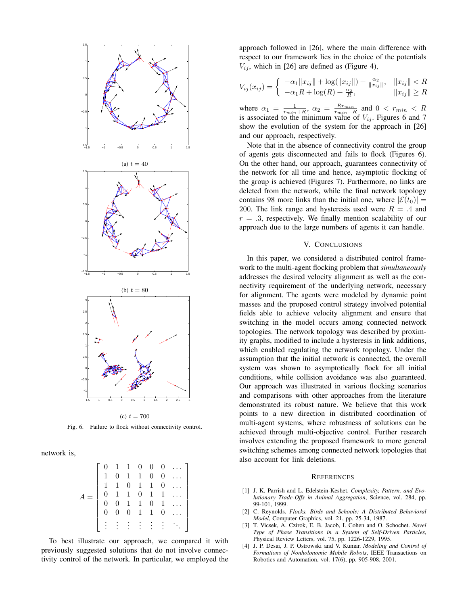

Fig. 6. Failure to flock without connectivity control.

network is,

|  |  |                                                                                                                                         |  | $0 \ldots$ |
|--|--|-----------------------------------------------------------------------------------------------------------------------------------------|--|------------|
|  |  |                                                                                                                                         |  | $0 \ldots$ |
|  |  |                                                                                                                                         |  |            |
|  |  |                                                                                                                                         |  |            |
|  |  |                                                                                                                                         |  |            |
|  |  | $\begin{array}{cccccccc} 0&1&1&0&0&0\\ 1&0&1&1&0&0\\ 1&1&0&1&1&0\\ 0&1&1&0&1&1\\ 0&0&1&1&0&1\\ 0&0&0&1&1&0 \end{array}$<br>$\mathbf{0}$ |  |            |
|  |  | 主主主主。                                                                                                                                   |  |            |
|  |  |                                                                                                                                         |  |            |

To best illustrate our approach, we compared it with previously suggested solutions that do not involve connectivity control of the network. In particular, we employed the approach followed in [26], where the main difference with respect to our framework lies in the choice of the potentials  $V_{ij}$ , which in [26] are defined as (Figure 4),

$$
V_{ij}(x_{ij}) = \begin{cases} -\alpha_1 \|x_{ij}\| + \log(\|x_{ij}\|) + \frac{\alpha_2}{\|x_{ij}\|}, & \|x_{ij}\| < R\\ -\alpha_1 R + \log(R) + \frac{\alpha_2}{R}, & \|x_{ij}\| \ge R \end{cases}
$$

where  $\alpha_1 = \frac{1}{r_{min}+R}$ ,  $\alpha_2 = \frac{Rr_{min}}{r_{min}+R}$  and  $0 < r_{min} < R$ is associated to the minimum value of  $V_{ij}$ . Figures 6 and 7 show the evolution of the system for the approach in [26] and our approach, respectively.

Note that in the absence of connectivity control the group of agents gets disconnected and fails to flock (Figures 6). On the other hand, our approach, guarantees connectivity of the network for all time and hence, asymptotic flocking of the group is achieved (Figures 7). Furthermore, no links are deleted from the network, while the final network topology contains 98 more links than the initial one, where  $|\mathcal{E}(t_0)| =$ 200. The link range and hysteresis used were  $R = .4$  and  $r = .3$ , respectively. We finally mention scalability of our approach due to the large numbers of agents it can handle.

# V. CONCLUSIONS

In this paper, we considered a distributed control framework to the multi-agent flocking problem that *simultaneously* addresses the desired velocity alignment as well as the connectivity requirement of the underlying network, necessary for alignment. The agents were modeled by dynamic point masses and the proposed control strategy involved potential fields able to achieve velocity alignment and ensure that switching in the model occurs among connected network topologies. The network topology was described by proximity graphs, modified to include a hysteresis in link additions, which enabled regulating the network topology. Under the assumption that the initial network is connected, the overall system was shown to asymptotically flock for all initial conditions, while collision avoidance was also guaranteed. Our approach was illustrated in various flocking scenarios and comparisons with other approaches from the literature demonstrated its robust nature. We believe that this work points to a new direction in distributed coordination of multi-agent systems, where robustness of solutions can be achieved through multi-objective control. Further research involves extending the proposed framework to more general switching schemes among connected network topologies that also account for link deletions.

# **REFERENCES**

- [1] J. K. Parrish and L. Edelstein-Keshet. *Complexity, Pattern, and Evolutionary Trade-Offs in Animal Aggregation*, Science, vol. 284, pp. 99-101, 1999.
- [2] C. Reynolds. *Flocks, Birds and Schools: A Distributed Behavioral Model*, Computer Graphics, vol. 21, pp. 25-34, 1987.
- [3] T. Vicsek, A. Czirok, E. B. Jacob, I. Cohen and O. Schochet. *Novel Type of Phase Transitions in a System of Self-Driven Particles*, Physical Review Letters, vol. 75, pp. 1226-1229, 1995.
- [4] J. P. Desai, J. P. Ostrowski and V. Kumar. *Modeling and Control of Formations of Nonholonomic Mobile Robots*, IEEE Transactions on Robotics and Automation, vol. 17(6), pp. 905-908, 2001.